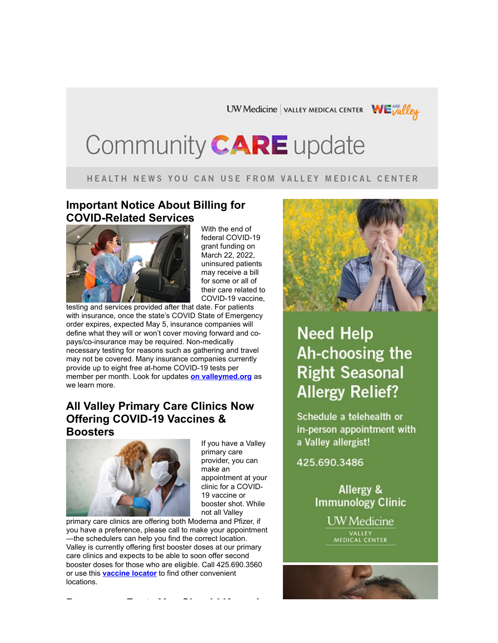UW Medicine | VALLEY MEDICAL CENTER WEVAlley

# Community CARE update

#### HEALTH NEWS YOU CAN USE FROM VALLEY MEDICAL CENTER

#### **Important Notice About Billing for COVID-Related Services**



With the end of federal COVID-19 grant funding on March 22, 2022, uninsured patients may receive a bill for some or all of their care related to COVID-19 vaccine,

testing and services provided after that date. For patients with insurance, once the state's COVID State of Emergency order expires, expected May 5, insurance companies will define what they will or won't cover moving forward and copays/co-insurance may be required. Non-medically necessary testing for reasons such as gathering and travel may not be covered. Many insurance companies currently provide up to eight free at-home COVID-19 tests per member per month. Look for updates **[on valleymed.org](https://www.valleymed.org/publicadvisory?utm_campaign=Community_Update_2022Apr14&utm_medium=email&utm_source=Eloqua&elqTrackId=9ec609e56d5b4457839158bec47232d9&elq=033fd1f1eb1d4b049de8215152ab2053&elqaid=1393&elqat=1&elqCampaignId=)** as we learn more.

#### **All Valley Primary Care Clinics Now Offering COVID-19 Vaccines & Boosters**



If you have a Valley primary care provider, you can make an appointment at your clinic for a COVID-19 vaccine or booster shot. While not all Valley

primary care clinics are offering both Moderna and Pfizer, if you have a preference, please call to make your appointment —the schedulers can help you find the correct location. Valley is currently offering first booster doses at our primary care clinics and expects to be able to soon offer second booster doses for those who are eligible. Call 425.690.3560 or use this **[vaccine locator](https://urldefense.com/v3/__https:/vaccinelocator.doh.wa.gov/?utm_campaign=Community_Update_2022Apr14&utm_medium=email&utm_source=Eloqua&elqTrackId=2ebd16ae29dc4975bdad559d37359249&elq=033fd1f1eb1d4b049de8215152ab2053&elqaid=1393&elqat=1&elqCampaignId=__;!!DXsSFrK4Q_c!aYifqMCfk8_y7zp98fHt58SokmYpHOo7cyQ7Uo3SNU3x8fuhpAF7a92RI_eJuf_ORJL6sbuiBjXlJFdncI0tV9sNCw$)** to find other convenient locations.

**Pregnancy Facts You Should Know In**



# **Need Help** Ah-choosing the **Right Seasonal Allergy Relief?**

Schedule a telehealth or in-person appointment with a Valley allergist!

425.690.3486

Allergy & **Immunology Clinic** 

> **UW** Medicine VALLEY<br>MEDICAL CENTER

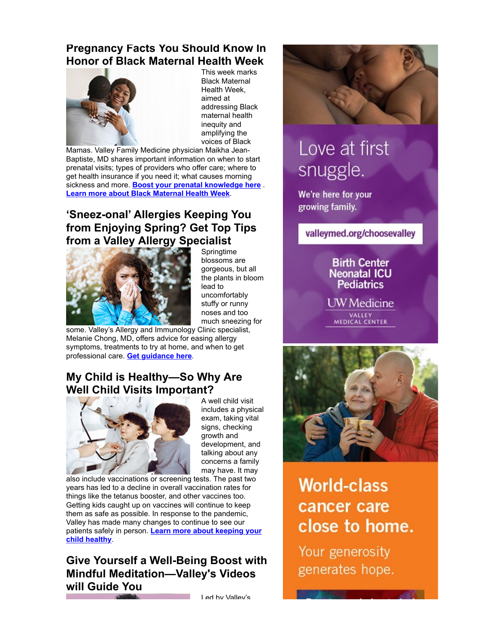#### **Pregnancy Facts You Should Know In Honor of Black Maternal Health Week**



This week marks Black Maternal Health Week, aimed at addressing Black maternal health inequity and amplifying the voices of Black

Mamas. Valley Family Medicine physician Maikha Jean-Baptiste, MD shares important information on when to start prenatal visits; types of providers who offer care; where to get health insurance if you need it; what causes morning sickness and more. **[Boost your prenatal knowledge here](https://blog.valleymed.org/2022/04/11/what-causes-morning-sickness-and-other-pregnancy-facts-you-need-to-know/%20?utm_campaign=Community_Update_2022Apr14&utm_medium=email&utm_source=Eloqua&elqTrackId=b2d4321ae293485cab2190a231a820f9&elq=033fd1f1eb1d4b049de8215152ab2053&elqaid=1393&elqat=1&elqCampaignId=)** . **[Learn more about Black Maternal Health Week](https://urldefense.com/v3/__https:/blackmamasmatter.org/bmhw/?utm_campaign=Community_Update_2022Apr14&utm_medium=email&utm_source=Eloqua&elqTrackId=5a531a5e50734fe1a216ef6edf1093d1&elq=033fd1f1eb1d4b049de8215152ab2053&elqaid=1393&elqat=1&elqCampaignId=__;!!DXsSFrK4Q_c!aYifqMCfk8_y7zp98fHt58SokmYpHOo7cyQ7Uo3SNU3x8fuhpAF7a92RI_eJuf_ORJL6sbuiBjXlJFdncI0LNeElBA$)**.

### **'Sneez-onal' Allergies Keeping You from Enjoying Spring? Get Top Tips from a Valley Allergy Specialist**



**Springtime** blossoms are gorgeous, but all the plants in bloom lead to uncomfortably stuffy or runny noses and too much sneezing for

some. Valley's Allergy and Immunology Clinic specialist, Melanie Chong, MD, offers advice for easing allergy symptoms, treatments to try at home, and when to get professional care. **[Get guidance here](https://blog.valleymed.org/2020/06/04/seasonal-allergy-update-with-melanie-chong-md/?utm_campaign=Community_Update_2022Apr14&utm_medium=email&utm_source=Eloqua&elqTrackId=1a0d0fcea9584bcc812fc8499c3420cd&elq=033fd1f1eb1d4b049de8215152ab2053&elqaid=1393&elqat=1&elqCampaignId=)**.

### **My Child is Healthy—So Why Are Well Child Visits Important?**



A well child visit includes a physical exam, taking vital signs, checking growth and development, and talking about any concerns a family may have. It may

also include vaccinations or screening tests. The past two years has led to a decline in overall vaccination rates for things like the tetanus booster, and other vaccines too. Getting kids caught up on vaccines will continue to keep them as safe as possible. In response to the pandemic, Valley has made many changes to continue to see our patients safely in person. **[Learn more about keeping your](https://blog.valleymed.org/2021/10/08/my-child-is-healthy-so-why-are-well-child-visits-important/?utm_campaign=Community_Update_2022Apr14&utm_medium=email&utm_source=Eloqua&elqTrackId=3e8cd1e601834ddeb5a1683ad690e9c7&elq=033fd1f1eb1d4b049de8215152ab2053&elqaid=1393&elqat=1&elqCampaignId=) child healthy**.

### **Give Yourself a Well-Being Boost with Mindful Meditation—Valley's Videos will Guide You**

Led by Valley's



# Love at first snuggle.

We're here for your growing family.

valleymed.org/choosevalley

#### **Birth Center Neonatal ICU Pediatrics**

UW Medicine

VALLEY<br>MEDICAL CENTER



# **World-class** cancer care close to home.

Your generosity generates hope.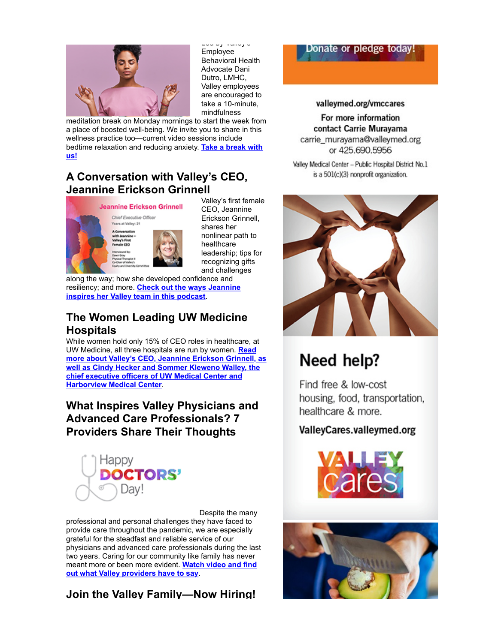

Led by Valley's Employee Behavioral Health Advocate Dani Dutro, LMHC, Valley employees are encouraged to take a 10-minute, mindfulness

meditation break on Monday mornings to start the week from a place of boosted well-being. We invite you to share in this wellness practice too—current video sessions include [bedtime relaxation and reducing anxiety.](https://blog.valleymed.org/2022/04/06/give-yourself-a-well-being-boost-with-mindful-meditation-valleys-videos-will-guide-you/?utm_campaign=Community_Update_2022Apr14&utm_medium=email&utm_source=Eloqua&elqTrackId=9bb4948b133b4054bac66b0ec59cd15b&elq=033fd1f1eb1d4b049de8215152ab2053&elqaid=1393&elqat=1&elqCampaignId=) **Take a break with us!**

#### **A Conversation with Valley's CEO, Jeannine Erickson Grinnell**



Valley's first female CEO, Jeannine Erickson Grinnell, shares her nonlinear path to healthcare leadership; tips for recognizing gifts and challenges

along the way; how she developed confidence and resiliency; and more. **Check out the ways Jeannine [inspires her Valley team in this podcast](https://blog.valleymed.org/2022/04/11/a-conversation-with-jeannine/?utm_campaign=Community_Update_2022Apr14&utm_medium=email&utm_source=Eloqua&elqTrackId=7a18a22ad9904e9c9e2f52a28965d452&elq=033fd1f1eb1d4b049de8215152ab2053&elqaid=1393&elqat=1&elqCampaignId=)**.

### **The Women Leading UW Medicine Hospitals**

While women hold only 15% of CEO roles in healthcare, at UW Medicine, all three hospitals are run by women. **Read [more about Valley's CEO, Jeannine Erickson Grinnell, as](https://urldefense.com/v3/__https:/huddle.uwmedicine.org/get-to-know-our-hospital-ceos/?utm_campaign=Community_Update_2022Apr14&utm_medium=email&utm_source=Eloqua&elqTrackId=ea2897059d25472581ff2a168e57ff9e&elq=033fd1f1eb1d4b049de8215152ab2053&elqaid=1393&elqat=1&elqCampaignId=__;!!DXsSFrK4Q_c!aYifqMCfk8_y7zp98fHt58SokmYpHOo7cyQ7Uo3SNU3x8fuhpAF7a92RI_eJuf_ORJL6sbuiBjXlJFdncI2uRnn4mQ$) well as Cindy Hecker and Sommer Kleweno Walley, the chief executive officers of UW Medical Center and Harborview Medical Center**.

### **What Inspires Valley Physicians and Advanced Care Professionals? 7 Providers Share Their Thoughts**



Despite the many

professional and personal challenges they have faced to provide care throughout the pandemic, we are especially grateful for the steadfast and reliable service of our physicians and advanced care professionals during the last two years. Caring for our community like family has never meant more or been more evident. **Watch video and find [out what Valley providers have to say](https://blog.valleymed.org/2022/04/11/celebrating-and-honoring-valleys-physicians-advanced-care-providers/?utm_campaign=Community_Update_2022Apr14&utm_medium=email&utm_source=Eloqua&elqTrackId=9ff7664b653d4355b3972ef94f2530d1&elq=033fd1f1eb1d4b049de8215152ab2053&elqaid=1393&elqat=1&elqCampaignId=)**.

### **Join the Valley Family—Now Hiring!**

#### Donate or pledge today!

#### valleymed.org/vmccares

For more information contact Carrie Muravama carrie\_murayama@valleymed.org or 425.690.5956

Valley Medical Center - Public Hospital District No.1 is a 501(c)(3) nonprofit organization.



# Need help?

Find free & low-cost housing, food, transportation, healthcare & more.

#### ValleyCares.valleymed.org



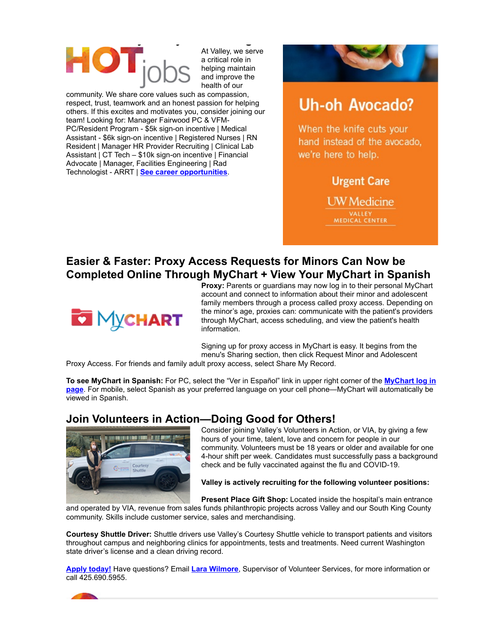

At Valley, we serve a critical role in helping maintain and improve the health of our

community. We share core values such as compassion, respect, trust, teamwork and an honest passion for helping others. If this excites and motivates you, consider joining our team! Looking for: Manager Fairwood PC & VFM-PC/Resident Program - \$5k sign-on incentive | Medical Assistant - \$6k sign-on incentive | Registered Nurses | RN Resident | Manager HR Provider Recruiting | Clinical Lab Assistant | CT Tech – \$10k sign-on incentive | Financial Advocate | Manager, Facilities Engineering | Rad Technologist - ARRT | **[See career opportunities](https://urldefense.com/v3/__https:/valleymed.igreentree.com?utm_campaign=Community_Update_2022Apr14&utm_medium=email&utm_source=Eloqua&elqTrackId=15c6381d0e42443b978fb2a06e512778&elq=033fd1f1eb1d4b049de8215152ab2053&elqaid=1393&elqat=1&elqCampaignId=__;!!DXsSFrK4Q_c!aYifqMCfk8_y7zp98fHt58SokmYpHOo7cyQ7Uo3SNU3x8fuhpAF7a92RI_eJuf_ORJL6sbuiBjXlJFdncI3uXWaeYQ$)**.



# **Uh-oh Avocado?**

When the knife cuts your hand instead of the avocado. we're here to help.

### **Urgent Care**

**UW** Medicine **MEDICAL CENTER** 

**Easier & Faster: Proxy Access Requests for Minors Can Now be Completed Online Through MyChart + View Your MyChart in Spanish**



**Proxy:** Parents or guardians may now log in to their personal MyChart account and connect to information about their minor and adolescent family members through a process called proxy access. Depending on the minor's age, proxies can: communicate with the patient's providers through MyChart, access scheduling, and view the patient's health information.

Signing up for proxy access in MyChart is easy. It begins from the menu's Sharing section, then click Request Minor and Adolescent

Proxy Access. For friends and family adult proxy access, select Share My Record.

**To see MyChart in Spanish:** For PC, select the "Ver in Español" link in upper right corner of the **MyChart log in page**[. For mobile, select Spanish as your preferred language on your cell phone—MyChart will automatically be](https://mychart.valleymed.org/MyChart_PRD/Authentication/Login?utm_campaign=Community_Update_2022Apr14&utm_medium=email&utm_source=Eloqua&elqTrackId=375ef28ce3f64f83af18f1c1df056be7&elq=033fd1f1eb1d4b049de8215152ab2053&elqaid=1393&elqat=1&elqCampaignId=) viewed in Spanish.

#### **Join Volunteers in Action—Doing Good for Others!**



Consider joining Valley's Volunteers in Action, or VIA, by giving a few hours of your time, talent, love and concern for people in our community. Volunteers must be 18 years or older and available for one 4-hour shift per week. Candidates must successfully pass a background check and be fully vaccinated against the flu and COVID-19.

**Valley is actively recruiting for the following volunteer positions:**

**Present Place Gift Shop:** Located inside the hospital's main entrance

and operated by VIA, revenue from sales funds philanthropic projects across Valley and our South King County community. Skills include customer service, sales and merchandising.

**Courtesy Shuttle Driver:** Shuttle drivers use Valley's Courtesy Shuttle vehicle to transport patients and visitors throughout campus and neighboring clinics for appointments, tests and treatments. Need current Washington state driver's license and a clean driving record.

**[Apply today!](https://valleymed.org/outreach--education/volunteer?utm_campaign=Community_Update_2022Apr14&utm_medium=email&utm_source=Eloqua&elqTrackId=a5bf33ee94804c889185bd3cf5c86543&elq=033fd1f1eb1d4b049de8215152ab2053&elqaid=1393&elqat=1&elqCampaignId=)** Have questions? Email **[Lara Wilmore](mailto:lara_wilmore@valleymed.org?subject=I%20have%20a%20question%20about%20volunteering)**, Supervisor of Volunteer Services, for more information or call 425.690.5955.